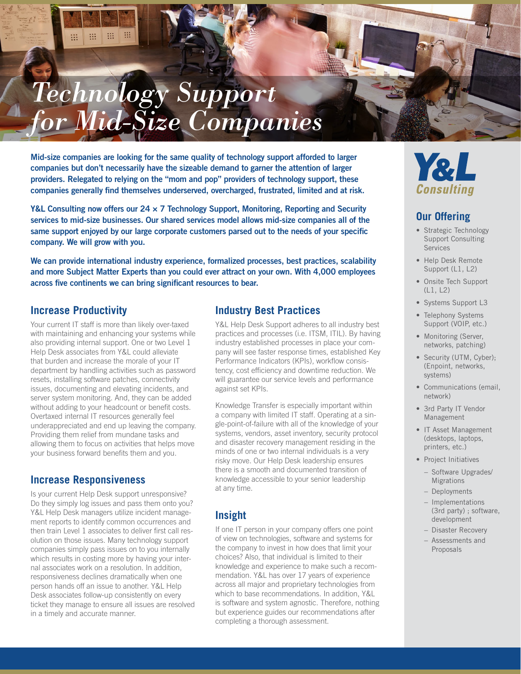# m 排 W. 照 *Technology Support for Mid-Size Companies*

Mid-size companies are looking for the same quality of technology support afforded to larger companies but don't necessarily have the sizeable demand to garner the attention of larger providers. Relegated to relying on the "mom and pop" providers of technology support, these companies generally find themselves underserved, overcharged, frustrated, limited and at risk.

Y&L Consulting now offers our 24  $\times$  7 Technology Support, Monitoring, Reporting and Security services to mid-size businesses. Our shared services model allows mid-size companies all of the same support enjoyed by our large corporate customers parsed out to the needs of your specific company. We will grow with you.

We can provide international industry experience, formalized processes, best practices, scalability and more Subject Matter Experts than you could ever attract on your own. With 4,000 employees across five continents we can bring significant resources to bear.

#### **Increase Productivity**

Your current IT staff is more than likely over-taxed with maintaining and enhancing your systems while also providing internal support. One or two Level 1 Help Desk associates from Y&L could alleviate that burden and increase the morale of your IT department by handling activities such as password resets, installing software patches, connectivity issues, documenting and elevating incidents, and server system monitoring. And, they can be added without adding to your headcount or benefit costs. Overtaxed internal IT resources generally feel underappreciated and end up leaving the company. Providing them relief from mundane tasks and allowing them to focus on activities that helps move your business forward benefits them and you.

#### **Increase Responsiveness**

Is your current Help Desk support unresponsive? Do they simply log issues and pass them onto you? Y&L Help Desk managers utilize incident management reports to identify common occurrences and then train Level 1 associates to deliver first call resolution on those issues. Many technology support companies simply pass issues on to you internally which results in costing more by having your internal associates work on a resolution. In addition, responsiveness declines dramatically when one person hands off an issue to another. Y&L Help Desk associates follow-up consistently on every ticket they manage to ensure all issues are resolved in a timely and accurate manner.

#### **Industry Best Practices**

Y&L Help Desk Support adheres to all industry best practices and processes (i.e. ITSM, ITIL). By having industry established processes in place your company will see faster response times, established Key Performance Indicators (KPIs), workflow consistency, cost efficiency and downtime reduction. We will guarantee our service levels and performance against set KPIs.

Knowledge Transfer is especially important within a company with limited IT staff. Operating at a single-point-of-failure with all of the knowledge of your systems, vendors, asset inventory, security protocol and disaster recovery management residing in the minds of one or two internal individuals is a very risky move. Our Help Desk leadership ensures there is a smooth and documented transition of knowledge accessible to your senior leadership at any time.

## **Insight**

If one IT person in your company offers one point of view on technologies, software and systems for the company to invest in how does that limit your choices? Also, that individual is limited to their knowledge and experience to make such a recommendation. Y&L has over 17 years of experience across all major and proprietary technologies from which to base recommendations. In addition, Y&L is software and system agnostic. Therefore, nothing but experience guides our recommendations after completing a thorough assessment.



#### **Our Offering**

- Strategic Technology Support Consulting Services
- Help Desk Remote Support (L1, L2)
- Onsite Tech Support (L1, L2)
- Systems Support L3
- Telephony Systems Support (VOIP, etc.)
- Monitoring (Server, networks, patching)
- Security (UTM, Cyber): (Enpoint, networks, systems)
- Communications (email, network)
- 3rd Party IT Vendor Management
- IT Asset Management (desktops, laptops, printers, etc.)
- Project Initiatives
- − Software Upgrades/ Migrations
- − Deployments
- − Implementations (3rd party) ; software, development
- − Disaster Recovery
- − Assessments and Proposals